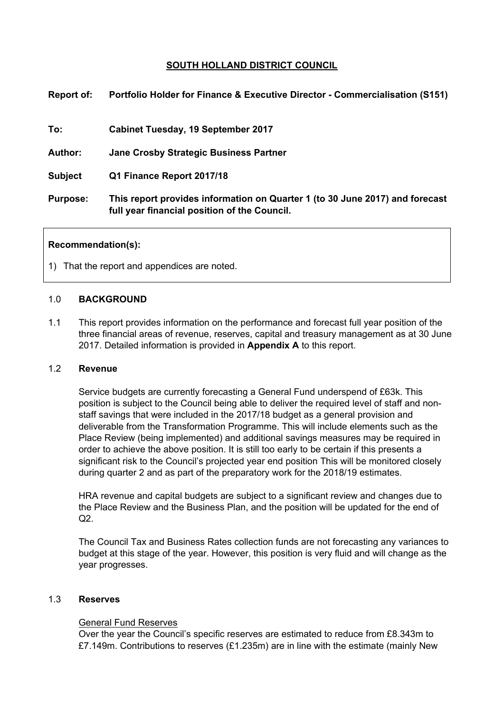# **SOUTH HOLLAND DISTRICT COUNCIL**

| <b>Report of:</b> | <b>Portfolio Holder for Finance &amp; Executive Director - Commercialisation (S151)</b>                                      |  |
|-------------------|------------------------------------------------------------------------------------------------------------------------------|--|
| To:               | Cabinet Tuesday, 19 September 2017                                                                                           |  |
| <b>Author:</b>    | <b>Jane Crosby Strategic Business Partner</b>                                                                                |  |
| <b>Subject</b>    | Q1 Finance Report 2017/18                                                                                                    |  |
| <b>Purpose:</b>   | This report provides information on Quarter 1 (to 30 June 2017) and forecast<br>full year financial position of the Council. |  |

### **Recommendation(s):**

1) That the report and appendices are noted.

### 1.0 **BACKGROUND**

1.1 This report provides information on the performance and forecast full year position of the three financial areas of revenue, reserves, capital and treasury management as at 30 June 2017. Detailed information is provided in **Appendix A** to this report.

# 1.2 **Revenue**

Service budgets are currently forecasting a General Fund underspend of £63k. This position is subject to the Council being able to deliver the required level of staff and nonstaff savings that were included in the 2017/18 budget as a general provision and deliverable from the Transformation Programme. This will include elements such as the Place Review (being implemented) and additional savings measures may be required in order to achieve the above position. It is still too early to be certain if this presents a significant risk to the Council's projected year end position This will be monitored closely during quarter 2 and as part of the preparatory work for the 2018/19 estimates.

HRA revenue and capital budgets are subject to a significant review and changes due to the Place Review and the Business Plan, and the position will be updated for the end of  $Q2$ .

The Council Tax and Business Rates collection funds are not forecasting any variances to budget at this stage of the year. However, this position is very fluid and will change as the year progresses.

### 1.3 **Reserves**

### General Fund Reserves

Over the year the Council's specific reserves are estimated to reduce from £8.343m to £7.149m. Contributions to reserves  $(E1.235m)$  are in line with the estimate (mainly New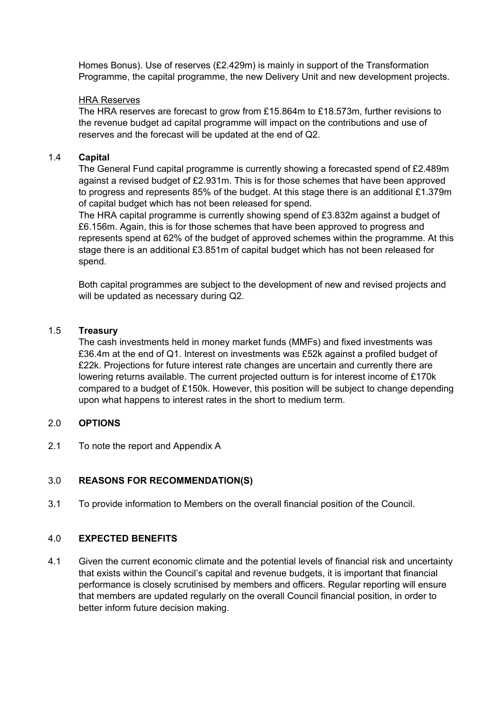Homes Bonus). Use of reserves (£2.429m) is mainly in support of the Transformation Programme, the capital programme, the new Delivery Unit and new development projects.

# HRA Reserves

The HRA reserves are forecast to grow from £15.864m to £18.573m, further revisions to the revenue budget ad capital programme will impact on the contributions and use of reserves and the forecast will be updated at the end of Q2.

# 1.4 **Capital**

The General Fund capital programme is currently showing a forecasted spend of £2.489m against a revised budget of £2.931m. This is for those schemes that have been approved to progress and represents 85% of the budget. At this stage there is an additional £1.379m of capital budget which has not been released for spend.

The HRA capital programme is currently showing spend of £3.832m against a budget of £6.156m. Again, this is for those schemes that have been approved to progress and represents spend at 62% of the budget of approved schemes within the programme. At this stage there is an additional £3.851m of capital budget which has not been released for spend.

Both capital programmes are subject to the development of new and revised projects and will be updated as necessary during Q2.

# 1.5 **Treasury**

The cash investments held in money market funds (MMFs) and fixed investments was £36.4m at the end of Q1. Interest on investments was £52k against a profiled budget of £22k. Projections for future interest rate changes are uncertain and currently there are lowering returns available. The current projected outturn is for interest income of £170k compared to a budget of £150k. However, this position will be subject to change depending upon what happens to interest rates in the short to medium term.

# 2.0 **OPTIONS**

2.1 To note the report and Appendix A

# 3.0 **REASONS FOR RECOMMENDATION(S)**

3.1 To provide information to Members on the overall financial position of the Council.

# 4.0 **EXPECTED BENEFITS**

4.1 Given the current economic climate and the potential levels of financial risk and uncertainty that exists within the Council's capital and revenue budgets, it is important that financial performance is closely scrutinised by members and officers. Regular reporting will ensure that members are updated regularly on the overall Council financial position, in order to better inform future decision making.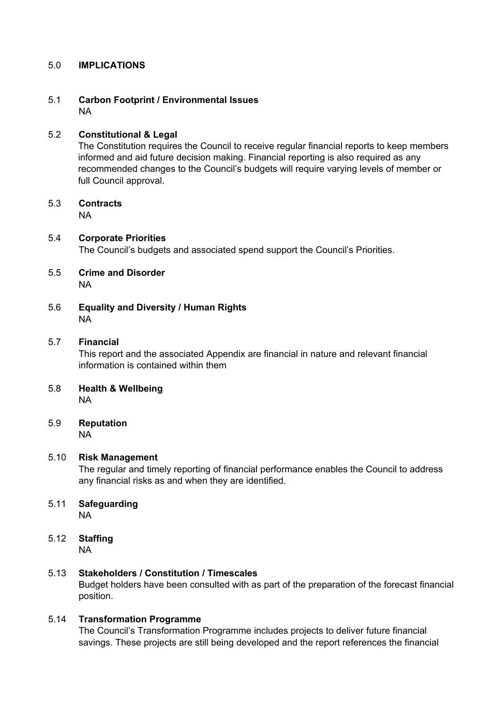# 5.0 **IMPLICATIONS**

# 5.1 **Carbon Footprint / Environmental Issues** NA

# 5.2 **Constitutional & Legal**

The Constitution requires the Council to receive regular financial reports to keep members informed and aid future decision making. Financial reporting is also required as any recommended changes to the Council's budgets will require varying levels of member or full Council approval.

# 5.3 **Contracts**

NA

## 5.4 **Corporate Priorities** The Council's budgets and associated spend support the Council's Priorities.

- 5.5 **Crime and Disorder** NA
- 5.6 **Equality and Diversity / Human Rights** NA

# 5.7 **Financial**

This report and the associated Appendix are financial in nature and relevant financial information is contained within them

- 5.8 **Health & Wellbeing** NA
- 5.9 **Reputation** NA

# 5.10 **Risk Management**

The regular and timely reporting of financial performance enables the Council to address any financial risks as and when they are identified.

- 5.11 **Safeguarding** NA
- 5.12 **Staffing** NA

## 5.13 **Stakeholders / Constitution / Timescales** Budget holders have been consulted with as part of the preparation of the forecast financial position.

# 5.14 **Transformation Programme**

The Council's Transformation Programme includes projects to deliver future financial savings. These projects are still being developed and the report references the financial